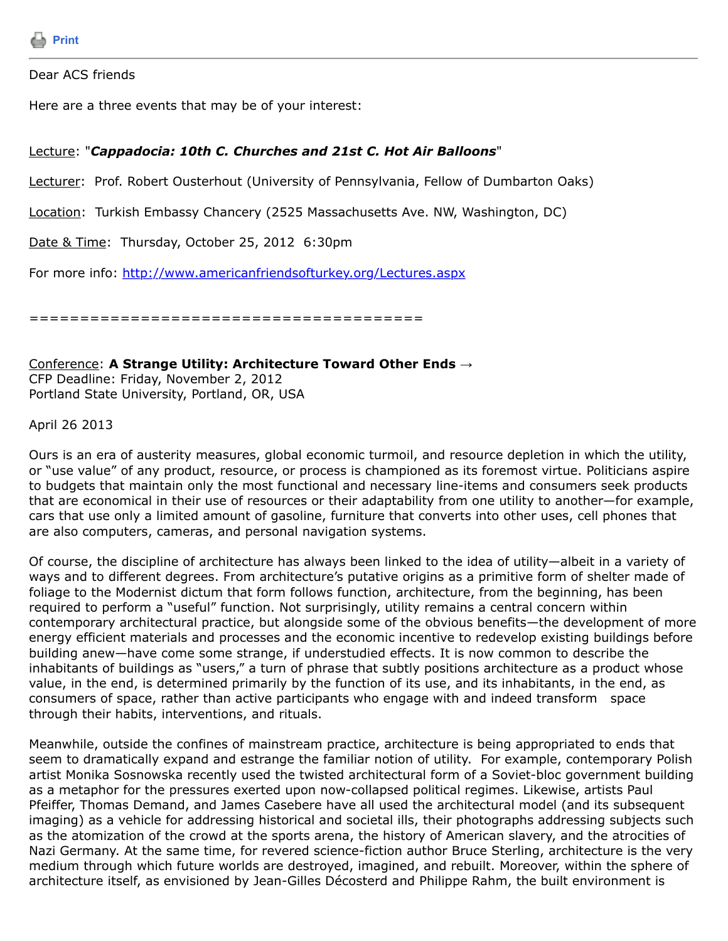Dear ACS friends

Here are a three events that may be of your interest:

## Lecture: "*Cappadocia: 10th C. Churches and 21st C. Hot Air Balloons*"

Lecturer: Prof. Robert Ousterhout (University of Pennsylvania, Fellow of Dumbarton Oaks)

Location: Turkish Embassy Chancery (2525 Massachusetts Ave. NW, Washington, DC)

Date & Time: Thursday, October 25, 2012 6:30pm

For more info:<http://www.americanfriendsofturkey.org/Lectures.aspx>

=======================================

Conference: **A Strange Utility: Architecture Toward Other Ends →** CFP Deadline: Friday, November 2, 2012 Portland State University, Portland, OR, USA

April 26 2013

Ours is an era of austerity measures, global economic turmoil, and resource depletion in which the utility, or "use value" of any product, resource, or process is championed as its foremost virtue. Politicians aspire to budgets that maintain only the most functional and necessary line-items and consumers seek products that are economical in their use of resources or their adaptability from one utility to another—for example, cars that use only a limited amount of gasoline, furniture that converts into other uses, cell phones that are also computers, cameras, and personal navigation systems.

Of course, the discipline of architecture has always been linked to the idea of utility—albeit in a variety of ways and to different degrees. From architecture's putative origins as a primitive form of shelter made of foliage to the Modernist dictum that form follows function, architecture, from the beginning, has been required to perform a "useful" function. Not surprisingly, utility remains a central concern within contemporary architectural practice, but alongside some of the obvious benefits—the development of more energy efficient materials and processes and the economic incentive to redevelop existing buildings before building anew—have come some strange, if understudied effects. It is now common to describe the inhabitants of buildings as "users," a turn of phrase that subtly positions architecture as a product whose value, in the end, is determined primarily by the function of its use, and its inhabitants, in the end, as consumers of space, rather than active participants who engage with and indeed transform space through their habits, interventions, and rituals.

Meanwhile, outside the confines of mainstream practice, architecture is being appropriated to ends that seem to dramatically expand and estrange the familiar notion of utility. For example, contemporary Polish artist Monika Sosnowska recently used the twisted architectural form of a Soviet-bloc government building as a metaphor for the pressures exerted upon now-collapsed political regimes. Likewise, artists Paul Pfeiffer, Thomas Demand, and James Casebere have all used the architectural model (and its subsequent imaging) as a vehicle for addressing historical and societal ills, their photographs addressing subjects such as the atomization of the crowd at the sports arena, the history of American slavery, and the atrocities of Nazi Germany. At the same time, for revered science-fiction author Bruce Sterling, architecture is the very medium through which future worlds are destroyed, imagined, and rebuilt. Moreover, within the sphere of architecture itself, as envisioned by Jean-Gilles Décosterd and Philippe Rahm, the built environment is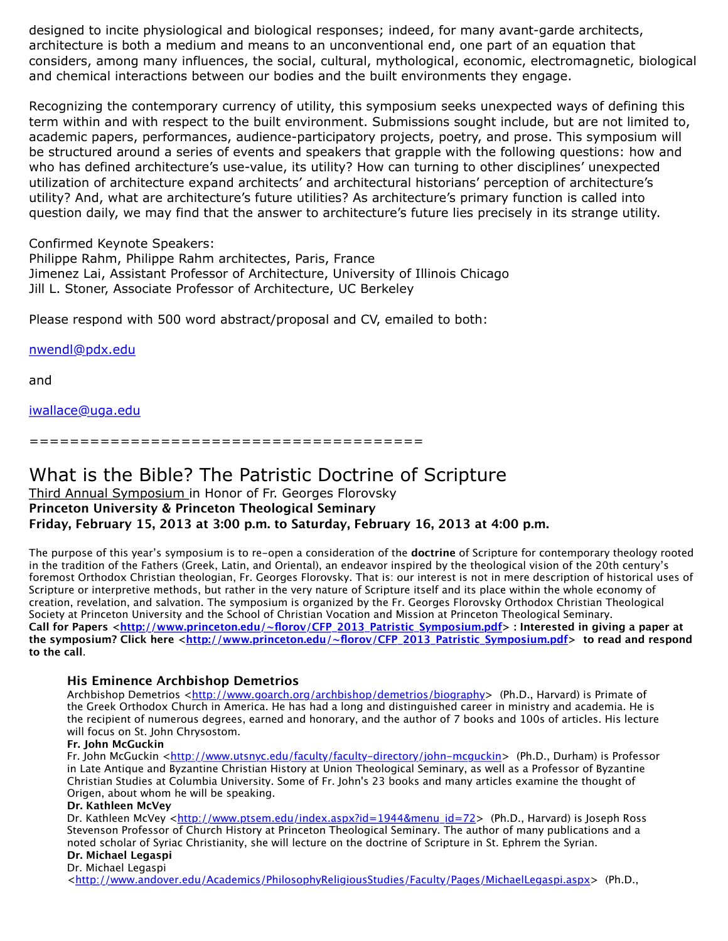designed to incite physiological and biological responses; indeed, for many avant-garde architects, architecture is both a medium and means to an unconventional end, one part of an equation that considers, among many influences, the social, cultural, mythological, economic, electromagnetic, biological and chemical interactions between our bodies and the built environments they engage.

Recognizing the contemporary currency of utility, this symposium seeks unexpected ways of defining this term within and with respect to the built environment. Submissions sought include, but are not limited to, academic papers, performances, audience-participatory projects, poetry, and prose. This symposium will be structured around a series of events and speakers that grapple with the following questions: how and who has defined architecture's use-value, its utility? How can turning to other disciplines' unexpected utilization of architecture expand architects' and architectural historians' perception of architecture's utility? And, what are architecture's future utilities? As architecture's primary function is called into question daily, we may find that the answer to architecture's future lies precisely in its strange utility.

Confirmed Keynote Speakers:

Philippe Rahm, Philippe Rahm architectes, Paris, France Jimenez Lai, Assistant Professor of Architecture, University of Illinois Chicago Jill L. Stoner, Associate Professor of Architecture, UC Berkeley

Please respond with 500 word abstract/proposal and CV, emailed to both:

[nwendl@pdx.edu](https://listserv.tamu.edu/cgi-bin/nwendl@pdx.edu)

and

[iwallace@uga.edu](https://listserv.tamu.edu/cgi-bin/iwallace@uga.edu)

=======================================

# What is the Bible? The Patristic Doctrine of Scripture

## Third Annual Symposium in Honor of Fr. Georges Florovsky **Princeton University & Princeton Theological Seminary Friday, February 15, 2013 at 3:00 p.m. to Saturday, February 16, 2013 at 4:00 p.m.**

The purpose of this year's symposium is to re-open a consideration of the **doctrine** of Scripture for contemporary theology rooted in the tradition of the Fathers (Greek, Latin, and Oriental), an endeavor inspired by the theological vision of the 20th century's foremost Orthodox Christian theologian, Fr. Georges Florovsky. That is: our interest is not in mere description of historical uses of Scripture or interpretive methods, but rather in the very nature of Scripture itself and its place within the whole economy of creation, revelation, and salvation. The symposium is organized by the Fr. Georges Florovsky Orthodox Christian Theological Society at Princeton University and the School of Christian Vocation and Mission at Princeton Theological Seminary. Call for Papers [<http://www.princeton.edu/~florov/CFP\\_2013\\_Patristic\\_Symposium.pdf](http://www.princeton.edu/~florov/CFP_2013_Patristic_Symposium.pdf)>: Interested in giving a paper at **the symposium? Click here [<http://www.princeton.edu/~florov/CFP\\_2013\\_Patristic\\_Symposium.pdf>](http://www.princeton.edu/~florov/CFP_2013_Patristic_Symposium.pdf) to read and respond to the call**.

## **His Eminence Archbishop Demetrios**

Archbishop Demetrios <<http://www.goarch.org/archbishop/demetrios/biography>> (Ph.D., Harvard) is Primate of the Greek Orthodox Church in America. He has had a long and distinguished career in ministry and academia. He is the recipient of numerous degrees, earned and honorary, and the author of 7 books and 100s of articles. His lecture will focus on St. John Chrysostom.

#### **Fr. John McGuckin**

Fr. John McGuckin [<http://www.utsnyc.edu/faculty/faculty-directory/john-mcguckin](http://www.utsnyc.edu/faculty/faculty-directory/john-mcguckin)> (Ph.D., Durham) is Professor in Late Antique and Byzantine Christian History at Union Theological Seminary, as well as a Professor of Byzantine Christian Studies at Columbia University. Some of Fr. John's 23 books and many articles examine the thought of Origen, about whom he will be speaking.

#### **Dr. Kathleen McVey**

Dr. Kathleen McVey [<http://www.ptsem.edu/index.aspx?id=1944&menu\\_id=72](http://www.ptsem.edu/index.aspx?id=1944&menu_id=72)> (Ph.D., Harvard) is Joseph Ross Stevenson Professor of Church History at Princeton Theological Seminary. The author of many publications and a noted scholar of Syriac Christianity, she will lecture on the doctrine of Scripture in St. Ephrem the Syrian.

#### **Dr. Michael Legaspi** Dr. Michael Legaspi

[<http://www.andover.edu/Academics/PhilosophyReligiousStudies/Faculty/Pages/MichaelLegaspi.aspx>](http://www.andover.edu/Academics/PhilosophyReligiousStudies/Faculty/Pages/MichaelLegaspi.aspx) (Ph.D.,